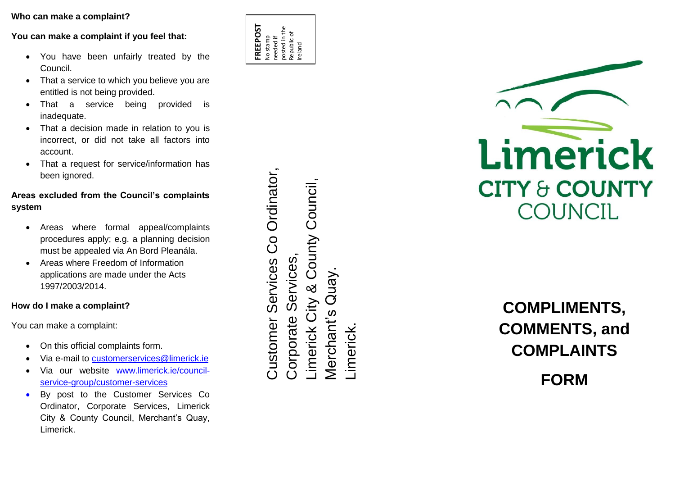## **Who can make a complaint ?**

**You can make a complaint if you feel that:** 

- You have been unfairly treated by the Council .
- That a service to which you believe you are entitled is not being provided .
- That a service being provided is inadequate .
- That a decision made in relation to you is incorrect, or did not take all factors into account .
- That a request for service/information has been ignored.

## **Areas excluded from the Council's complaints system**

- Areas where formal appeal/complaints procedures apply; e.g. a planning decision must be appealed via An Bord Pleanála .
- Areas where Freedom of Information applications are made under the Acts 1997/2003/2014 .

## **How do I make a complaint?**

You can make a complaint:

- On this official complaints form.
- Via e-mail to **customerservices@limerick.ie**
- Via our website [www.limerick.ie/council](http://www.limerick.ie/council-service-group/customer-services)service [-group/customer](http://www.limerick.ie/council-service-group/customer-services) -services
- By post to the Customer Services Co Ordinator, Corporate Services, Limerick City & County Council, Merchant's Quay, Limerick.

Co Ordinator, Co Ordinator, County Council, Limerick City & County Council, Services Corporate Services, Services Customer Services Quay. Merchant's Quay.  $\overline{\text{8}}$ imerick City **Merchant's** Customer Corporate Limerick.



## **COMPLIMENTS, COMMENTS, and COMPLAINTS**

**FORM**